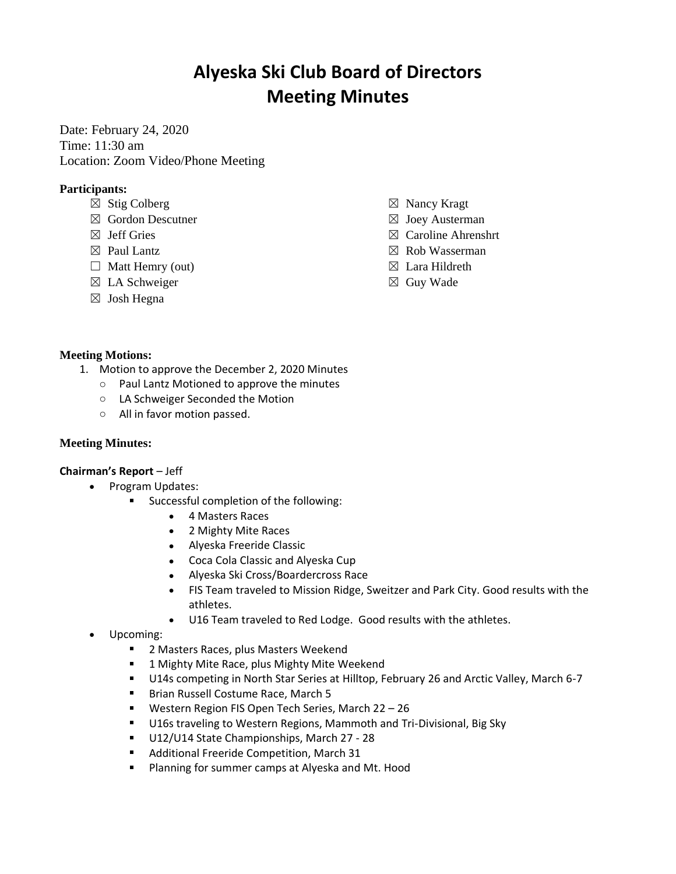# **Alyeska Ski Club Board of Directors Meeting Minutes**

Date: February 24, 2020 Time: 11:30 am Location: Zoom Video/Phone Meeting

## **Participants:**

- $\boxtimes$  Stig Colberg
- ☒ Gordon Descutner
- $\boxtimes$  Jeff Gries
- $\boxtimes$  Paul Lantz
- $\Box$  Matt Hemry (out)
- $\boxtimes$  LA Schweiger
- ☒ Josh Hegna
- ☒ Nancy Kragt
- $\boxtimes$  Joey Austerman
- ☒ Caroline Ahrenshrt
- ☒ Rob Wasserman
- $\boxtimes$  Lara Hildreth
- ☒ Guy Wade

## **Meeting Motions:**

- 1. Motion to approve the December 2, 2020 Minutes
	- o Paul Lantz Motioned to approve the minutes
	- o LA Schweiger Seconded the Motion
	- o All in favor motion passed.

## **Meeting Minutes:**

### **Chairman's Report** – Jeff

- Program Updates:
	- **Successful completion of the following:** 
		- 4 Masters Races
		- 2 Mighty Mite Races
		- Alyeska Freeride Classic
		- Coca Cola Classic and Alyeska Cup
		- Alyeska Ski Cross/Boardercross Race
		- FIS Team traveled to Mission Ridge, Sweitzer and Park City. Good results with the athletes.
		- U16 Team traveled to Red Lodge. Good results with the athletes.
- Upcoming:
	- $\blacksquare$ 2 Masters Races, plus Masters Weekend
	- 1 Mighty Mite Race, plus Mighty Mite Weekend
	- U14s competing in North Star Series at Hilltop, February 26 and Arctic Valley, March 6-7
	- Brian Russell Costume Race, March 5
	- **Western Region FIS Open Tech Series, March 22 26**
	- U16s traveling to Western Regions, Mammoth and Tri-Divisional, Big Sky
	- U12/U14 State Championships, March 27 28
	- $\mathbf{u} = \mathbf{u}$ Additional Freeride Competition, March 31
	- $\mathbf{u}$ Planning for summer camps at Alyeska and Mt. Hood